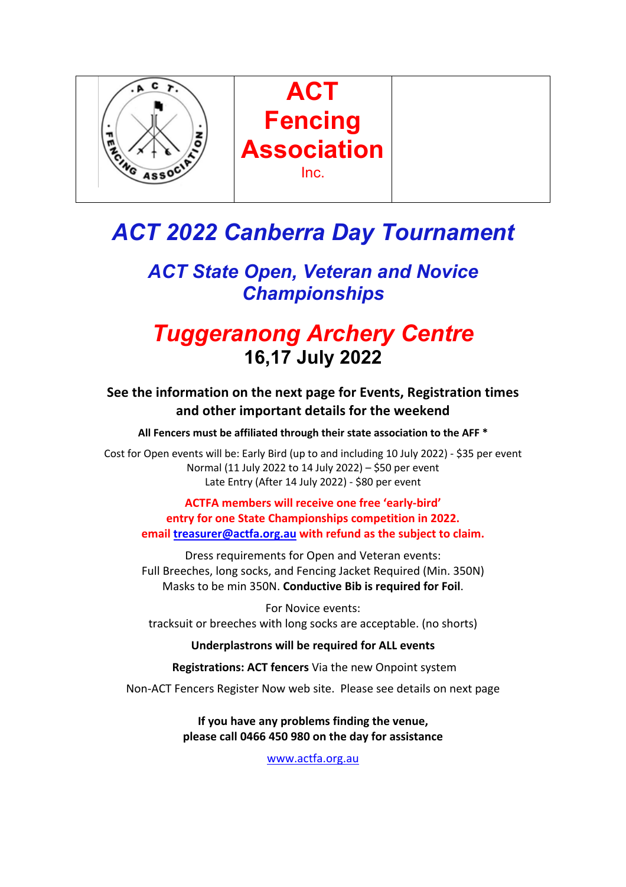

# *ACT 2022 Canberra Day Tournament*

## *ACT State Open, Veteran and Novice Championships*

# *Tuggeranong Archery Centre* **16,17 July 2022**

### **See the information on the next page for Events, Registration times and other important details for the weekend**

**All Fencers must be affiliated through their state association to the AFF \***

Cost for Open events will be: Early Bird (up to and including 10 July 2022) - \$35 per event Normal (11 July 2022 to 14 July 2022) – \$50 per event Late Entry (After 14 July 2022) - \$80 per event

**ACTFA members will receive one free 'early-bird' entry for one State Championships competition in 2022. email treasurer@actfa.org.au with refund as the subject to claim.**

Dress requirements for Open and Veteran events: Full Breeches, long socks, and Fencing Jacket Required (Min. 350N) Masks to be min 350N. **Conductive Bib is required for Foil**.

For Novice events: tracksuit or breeches with long socks are acceptable. (no shorts)

**Underplastrons will be required for ALL events**

**Registrations: ACT fencers** Via the new Onpoint system

Non-ACT Fencers Register Now web site. Please see details on next page

**If you have any problems finding the venue, please call 0466 450 980 on the day for assistance**

www.actfa.org.au